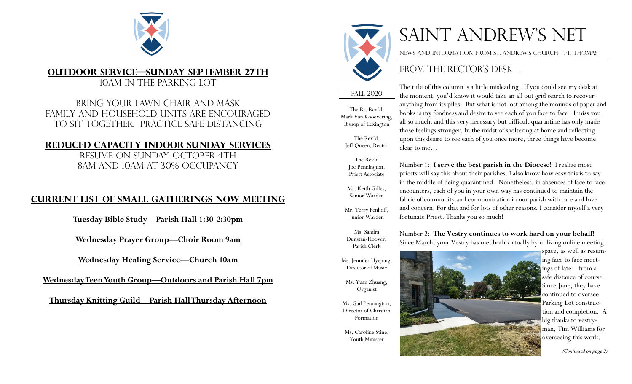

## **Outdoor service—Sunday September 27th**

10am in the parking lot

Bring your lawn chair and mask Family and household units are encouraged To sit together. Practice safe distancing

## **Reduced capacity indoor Sunday services**

Resume on Sunday, October 4th 8am and 10am at 30% occupancy

## **Current list of small gatherings now meeting**

**Tuesday Bible Study—Parish Hall 1:30-2:30pm**

**Wednesday Prayer Group—Choir Room 9am**

**Wednesday Healing Service—Church 10am**

**Wednesday Teen Youth Group—Outdoors and Parish Hall 7pm**

**Thursday Knitting Guild—Parish Hall Thursday Afternoon** 



# SAINT ANDREW'S NET

The title of this column is a little misleading. If you could see my desk at the moment, you'd know it would take an all out grid search to recover anything from its piles. But what is not lost among the mounds of paper and books is my fondness and desire to see each of you face to face. I miss you all so much, and this very necessary but difficult quarantine has only made those feelings stronger. In the midst of sheltering at home and reflecting upon this desire to see each of you once more, three things have become

News and information from St. Andrew's church—Ft. Thomas

## FROM THE RECTOR'S DESK...

fall 2020

The Rt. Rev'd. Mark Van Kooevering, Bishop of Lexington

The Rev'd. Jeff Queen, Rector

The Rev'd Joe Pennington, Priest Associate

Mr. Keith Gilles, Senior Warden

Mr. Terry Fenhoff, Junior Warden

Ms. Sandra Dunstan-Hoover, Parish Clerk

clear to me… Number 1: **I serve the best parish in the Diocese!** I realize most priests will say this about their parishes. I also know how easy this is to say in the middle of being quarantined. Nonetheless, in absences of face to face encounters, each of you in your own way has continued to maintain the fabric of community and communication in our parish with care and love

fortunate Priest. Thanks you so much!

Number 2: **The Vestry continues to work hard on your behalf!**  Since March, your Vestry has met both virtually by utilizing online meeting

and concern. For that and for lots of other reasons, I consider myself a very

Ms. Jennifer Hyejung, Director of Music

> Ms. Yuan Zhuang, Organist

Ms. Gail Pennington, Director of Christian Formation

Ms. Caroline Stine, Youth Minister



ing face to face meetings of late—from a safe distance of course. Since June, they have continued to oversee Parking Lot construction and completion. A big thanks to vestryman, Tim Williams for overseeing this work.

*(Continued on page 2)*